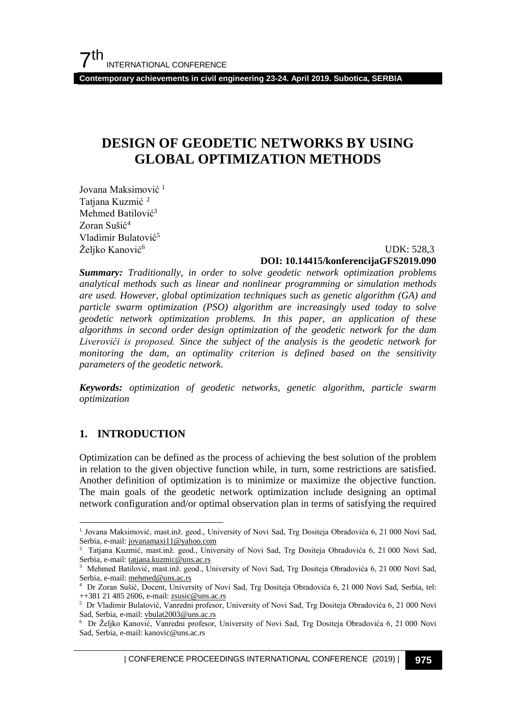**Contemporary achievements in civil engineering 23-24. April 2019. Subotica, SERBIA**

# **DESIGN OF GEODETIC NETWORKS BY USING GLOBAL OPTIMIZATION METHODS**

Jovana Maksimović<sup>[1](#page-0-0)</sup> Tatjana Kuzmić<sup>[2](#page-0-1)</sup> Mehmed Batilović<sup>3</sup> Zoran Sušić<sup>4</sup> Vladimir Bulatović<sup>5</sup> Željko Kanović<sup>6</sup>

 UDK: 528,3 **DOI: 10.14415/konferencijaGFS2019.090**

*Summary: Traditionally, in order to solve geodetic network optimization problems analytical methods such as linear and nonlinear programming or simulation methods are used. However, global optimization techniques such as genetic algorithm (GA) and particle swarm optimization (PSO) algorithm are increasingly used today to solve geodetic network optimization problems. In this paper, an application of these algorithms in second order design optimization of the geodetic network for the dam Liverovići is proposed. Since the subject of the analysis is the geodetic network for monitoring the dam, an optimality criterion is defined based on the sensitivity parameters of the geodetic network.*

*Keywords: optimization of geodetic networks, genetic algorithm, particle swarm optimization*

#### **1. INTRODUCTION**

Optimization can be defined as the process of achieving the best solution of the problem in relation to the given objective function while, in turn, some restrictions are satisfied. Another definition of optimization is to minimize or maximize the objective function. The main goals of the geodetic network optimization include designing an optimal network configuration and/or optimal observation plan in terms of satisfying the required

<span id="page-0-0"></span> <sup>1</sup> Jovana Maksimović, mast.inž. geod., University of Novi Sad, Trg Dositeja Obradovića 6, 21 000 Novi Sad, Serbia, e-mail: jovanamaxi11@yahoo.com

<span id="page-0-1"></span><sup>2</sup> Tatjana Kuzmić, mast.inž. geod., University of Novi Sad, Trg Dositeja Obradovića 6, 21 000 Novi Sad, Serbia, e-mail[: tatjana.kuzmic@uns.ac.rs](mailto:tatjana.kuzmic@uns.ac.rs)

<sup>3</sup> Mehmed Batilović, mast.inž. geod., University of Novi Sad, Trg Dositeja Obradovića 6, 21 000 Novi Sad, Serbia, e-mail[: mehmed@uns.ac.rs](mailto:mehmed@uns.ac.rs)

<sup>4</sup> Dr Zoran Sušić, Docent, University of Novi Sad, Trg Dositeja Obradovića 6, 21 000 Novi Sad, Serbia, tel: ++381 21 485 2606, e-mail: zsusic@uns.ac.rs

<sup>5</sup> Dr Vladimir Bulatović, Vanredni profesor, University of Novi Sad, Trg Dositeja Obradovića 6, 21 000 Novi Sad, Serbia, e-mail[: vbulat2003@uns.ac.rs](mailto:vbulat2003@uns.ac.rs)

<sup>6</sup> Dr Željko Kanović, Vanredni profesor, University of Novi Sad, Trg Dositeja Obradovića 6, 21 000 Novi Sad, Serbia, e-mail: kanovic@uns.ac.rs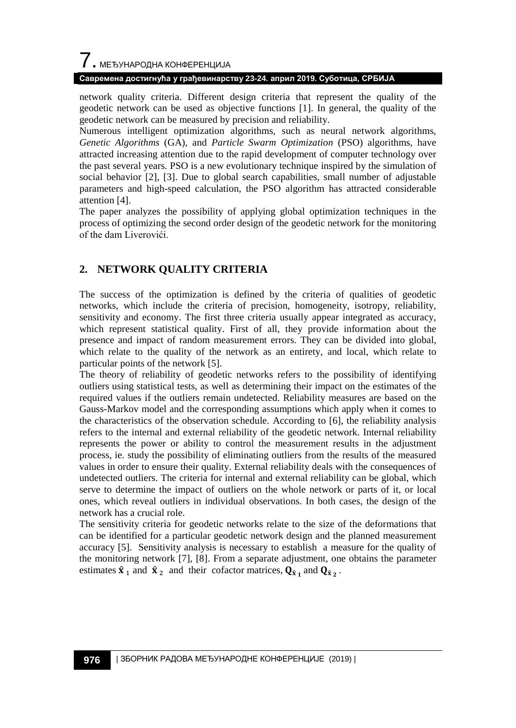# $\overline{\phantom{a}}$ . МЕЂУНАРОДНА КОНФЕРЕНЦИЈА

#### **Савремена достигнућа у грађевинарству 23-24. април 2019. Суботица, СРБИЈА**

network quality criteria. Different design criteria that represent the quality of the geodetic network can be used as objective functions [1]. In general, the quality of the geodetic network can be measured by precision and reliability.

Numerous intelligent optimization algorithms, such as neural network algorithms, *Genetic Algorithms* (GA), and *Particle Swarm Optimization* (PSO) algorithms, have attracted increasing attention due to the rapid development of computer technology over the past several years. PSO is a new evolutionary technique inspired by the simulation of social behavior [2], [3]. Due to global search capabilities, small number of adjustable parameters and high-speed calculation, the PSO algorithm has attracted considerable attention [4].

The paper analyzes the possibility of applying global optimization techniques in the process of optimizing the second order design of the geodetic network for the monitoring of the dam Liverovići.

## **2. NETWORK QUALITY CRITERIA**

The success of the optimization is defined by the criteria of qualities of geodetic networks, which include the criteria of precision, homogeneity, isotropy, reliability, sensitivity and economy. The first three criteria usually appear integrated as accuracy, which represent statistical quality. First of all, they provide information about the presence and impact of random measurement errors. They can be divided into global, which relate to the quality of the network as an entirety, and local, which relate to particular points of the network [5].

The theory of reliability of geodetic networks refers to the possibility of identifying outliers using statistical tests, as well as determining their impact on the estimates of the required values if the outliers remain undetected. Reliability measures are based on the Gauss-Markov model and the corresponding assumptions which apply when it comes to the characteristics of the observation schedule. According to [6], the reliability analysis refers to the internal and external reliability of the geodetic network. Internal reliability represents the power or ability to control the measurement results in the adjustment process, ie. study the possibility of eliminating outliers from the results of the measured values in order to ensure their quality. External reliability deals with the consequences of undetected outliers. The criteria for internal and external reliability can be global, which serve to determine the impact of outliers on the whole network or parts of it, or local ones, which reveal outliers in individual observations. In both cases, the design of the network has a crucial role.

The sensitivity criteria for geodetic networks relate to the size of the deformations that can be identified for a particular geodetic network design and the planned measurement accuracy [5]. Sensitivity analysis is necessary to establish a measure for the quality of the monitoring network [7], [8]. From a separate adjustment, one obtains the parameter estimates  $\hat{\mathbf{x}}_1$  and  $\hat{\mathbf{x}}_2$  and their cofactor matrices,  $\mathbf{Q}_{\hat{\mathbf{x}}_1}$  and  $\mathbf{Q}_{\hat{\mathbf{x}}_2}$ .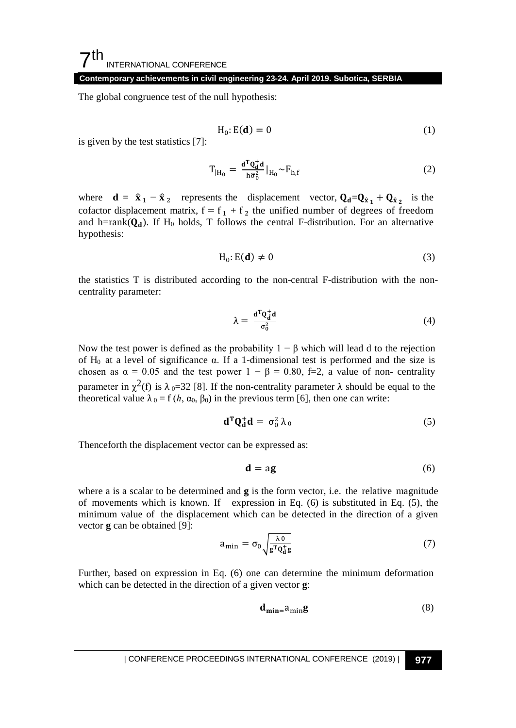#### **Contemporary achievements in civil engineering 23-24. April 2019. Subotica, SERBIA**

The global congruence test of the null hypothesis:

$$
H_0: E(\mathbf{d}) = 0 \tag{1}
$$

is given by the test statistics [7]:

$$
T_{|H_0} = \frac{\mathbf{d}^T \mathbf{Q}_d^{\dagger} \mathbf{d}}{h \hat{\sigma}_0^2} |_{H_0} \sim F_{h,f}
$$
 (2)

where **d** =  $\hat{\mathbf{x}}_1 - \hat{\mathbf{x}}_2$  represents the displacement vector,  $Q_d = Q_{\hat{x}_1} + Q_{\hat{x}_2}$  is the cofactor displacement matrix,  $f = f_1 + f_2$  the unified number of degrees of freedom and h=rank( $Q_d$ ). If H<sub>0</sub> holds, T follows the central F-distribution. For an alternative hypothesis:

$$
H_0: E(\mathbf{d}) \neq 0 \tag{3}
$$

the statistics T is distributed according to the non-central F-distribution with the noncentrality parameter:

$$
\lambda = \frac{\mathbf{d}^{\mathrm{T}} \mathbf{Q}_{\mathbf{d}}^{\dagger} \mathbf{d}}{\sigma_0^2} \tag{4}
$$

Now the test power is defined as the probability  $1 - \beta$  which will lead d to the rejection of H0 at a level of significance α. If a 1-dimensional test is performed and the size is chosen as  $\alpha = 0.05$  and the test power  $1 - \beta = 0.80$ , f=2, a value of non- centrality parameter in  $\chi^2$ (f) is  $\lambda_0$ =32 [8]. If the non-centrality parameter  $\lambda$  should be equal to the theoretical value  $\lambda_0 = f(h, \alpha_0, \beta_0)$  in the previous term [6], then one can write:

$$
\mathbf{d}^{\mathrm{T}}\mathbf{Q}_{\mathbf{d}}^{+}\mathbf{d} = \sigma_0^2 \lambda_0 \tag{5}
$$

Thenceforth the displacement vector can be expressed as:

$$
\mathbf{d} = \mathbf{a}\mathbf{g} \tag{6}
$$

where a is a scalar to be determined and **g** is the form vector, i.e. the relative magnitude of movements which is known. If expression in Eq. (6) is substituted in Eq. (5), the minimum value of the displacement which can be detected in the direction of a given vector **g** can be obtained [9]:

$$
a_{\min} = \sigma_0 \sqrt{\frac{\lambda}{g^T Q_d^+ g}}
$$
 (7)

Further, based on expression in Eq. (6) one can determine the minimum deformation which can be detected in the direction of a given vector **g**:

$$
\mathbf{d}_{\min} = a_{\min} \mathbf{g} \tag{8}
$$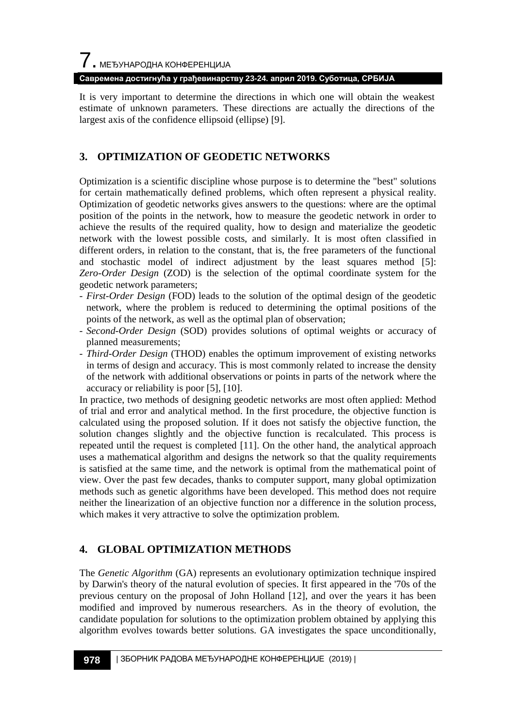**Савремена достигнућа у грађевинарству 23-24. април 2019. Суботица, СРБИЈА**

It is very important to determine the directions in which one will obtain the weakest estimate of unknown parameters. These directions are actually the directions of the largest axis of the confidence ellipsoid (ellipse) [9].

## **3. OPTIMIZATION OF GEODETIC NETWORKS**

Optimization is a scientific discipline whose purpose is to determine the "best" solutions for certain mathematically defined problems, which often represent a physical reality. Optimization of geodetic networks gives answers to the questions: where are the optimal position of the points in the network, how to measure the geodetic network in order to achieve the results of the required quality, how to design and materialize the geodetic network with the lowest possible costs, and similarly. It is most often classified in different orders, in relation to the constant, that is, the free parameters of the functional and stochastic model of indirect adjustment by the least squares method [5]: *Zero-Order Design* (ZOD) is the selection of the optimal coordinate system for the geodetic network parameters;

- *First-Order Design* (FOD) leads to the solution of the optimal design of the geodetic network, where the problem is reduced to determining the optimal positions of the points of the network, as well as the optimal plan of observation;
- *Second-Order Design* (SOD) provides solutions of optimal weights or accuracy of planned measurements;
- *Third-Order Design* (THOD) enables the optimum improvement of existing networks in terms of design and accuracy. This is most commonly related to increase the density of the network with additional observations or points in parts of the network where the accuracy or reliability is poor [5], [10].

In practice, two methods of designing geodetic networks are most often applied: Method of trial and error and analytical method. In the first procedure, the objective function is calculated using the proposed solution. If it does not satisfy the objective function, the solution changes slightly and the objective function is recalculated. This process is repeated until the request is completed [11]. On the other hand, the analytical approach uses a mathematical algorithm and designs the network so that the quality requirements is satisfied at the same time, and the network is optimal from the mathematical point of view. Over the past few decades, thanks to computer support, many global optimization methods such as genetic algorithms have been developed. This method does not require neither the linearization of an objective function nor a difference in the solution process, which makes it very attractive to solve the optimization problem.

## **4. GLOBAL OPTIMIZATION METHODS**

The *Genetic Algorithm* (GA) represents an evolutionary optimization technique inspired by Darwin's theory of the natural evolution of species. It first appeared in the '70s of the previous century on the proposal of John Holland [12], and over the years it has been modified and improved by numerous researchers. As in the theory of evolution, the candidate population for solutions to the optimization problem obtained by applying this algorithm evolves towards better solutions. GA investigates the space unconditionally,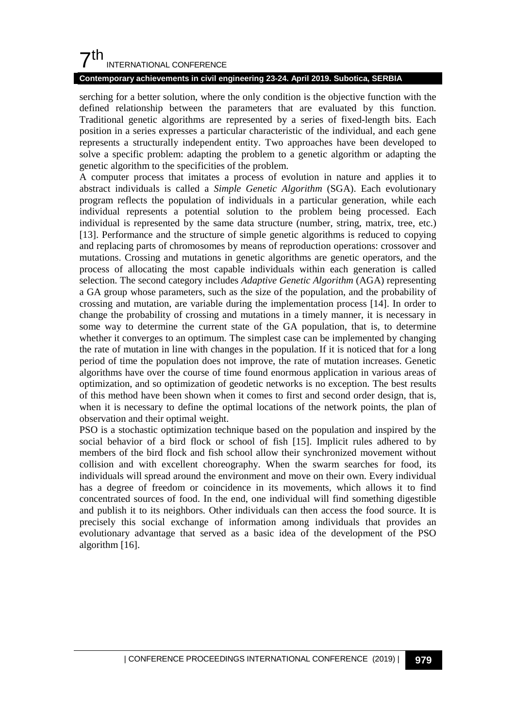## $7<sup>th</sup>$ INTERNATIONAL CONFERENCE

#### **Contemporary achievements in civil engineering 23-24. April 2019. Subotica, SERBIA**

serching for a better solution, where the only condition is the objective function with the defined relationship between the parameters that are evaluated by this function. Traditional genetic algorithms are represented by a series of fixed-length bits. Each position in a series expresses a particular characteristic of the individual, and each gene represents a structurally independent entity. Two approaches have been developed to solve a specific problem: adapting the problem to a genetic algorithm or adapting the genetic algorithm to the specificities of the problem.

A computer process that imitates a process of evolution in nature and applies it to abstract individuals is called a *Simple Genetic Algorithm* (SGA). Each evolutionary program reflects the population of individuals in a particular generation, while each individual represents a potential solution to the problem being processed. Each individual is represented by the same data structure (number, string, matrix, tree, etc.) [13]. Performance and the structure of simple genetic algorithms is reduced to copying and replacing parts of chromosomes by means of reproduction operations: crossover and mutations. Crossing and mutations in genetic algorithms are genetic operators, and the process of allocating the most capable individuals within each generation is called selection. The second category includes *Adaptive Genetic Algorithm* (AGA) representing a GA group whose parameters, such as the size of the population, and the probability of crossing and mutation, are variable during the implementation process [14]. In order to change the probability of crossing and mutations in a timely manner, it is necessary in some way to determine the current state of the GA population, that is, to determine whether it converges to an optimum. The simplest case can be implemented by changing the rate of mutation in line with changes in the population. If it is noticed that for a long period of time the population does not improve, the rate of mutation increases. Genetic algorithms have over the course of time found enormous application in various areas of optimization, and so optimization of geodetic networks is no exception. The best results of this method have been shown when it comes to first and second order design, that is, when it is necessary to define the optimal locations of the network points, the plan of observation and their optimal weight.

PSO is a stochastic optimization technique based on the population and inspired by the social behavior of a bird flock or school of fish [15]. Implicit rules adhered to by members of the bird flock and fish school allow their synchronized movement without collision and with excellent choreography. When the swarm searches for food, its individuals will spread around the environment and move on their own. Every individual has a degree of freedom or coincidence in its movements, which allows it to find concentrated sources of food. In the end, one individual will find something digestible and publish it to its neighbors. Other individuals can then access the food source. It is precisely this social exchange of information among individuals that provides an evolutionary advantage that served as a basic idea of the development of the PSO algorithm [16].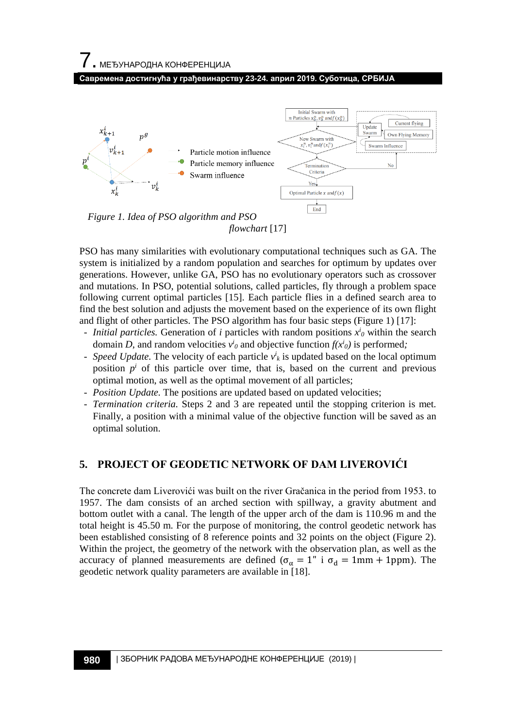7. МЕЂУНАРОДНА КОНФЕРЕНЦИЈА

**Савремена достигнућа у грађевинарству 23-24. април 2019. Суботица, СРБИЈА**



PSO has many similarities with evolutionary computational techniques such as GA. The system is initialized by a random population and searches for optimum by updates over generations. However, unlike GA, PSO has no evolutionary operators such as crossover and mutations. In PSO, potential solutions, called particles, fly through a problem space following current optimal particles [15]. Each particle flies in a defined search area to find the best solution and adjusts the movement based on the experience of its own flight and flight of other particles. The PSO algorithm has four basic steps (Figure 1) [17]:

- *Initial particles.* Generation of *i* particles with random positions *xi <sup>0</sup>* within the search domain *D*, and random velocities  $v^i$ <sup>*i*</sup> and objective function  $f(x^i)$  is performed;
- *Speed Update.* The velocity of each particle *vi <sup>k</sup>* is updated based on the local optimum position  $p^i$  of this particle over time, that is, based on the current and previous optimal motion, as well as the optimal movement of all particles;
- *Position Update.* The positions are updated based on updated velocities;
- *Termination criteria.* Steps 2 and 3 are repeated until the stopping criterion is met. Finally, a position with a minimal value of the objective function will be saved as an optimal solution.

## **5. PROJECT OF GEODETIC NETWORK OF DAM LIVEROVIĆI**

The concrete dam Liverovići was built on the river Gračanica in the period from 1953. to 1957. The dam consists of an arched section with spillway, a gravity abutment and bottom outlet with a canal. The length of the upper arch of the dam is 110.96 m and the total height is 45.50 m. For the purpose of monitoring, the control geodetic network has been established consisting of 8 reference points and 32 points on the object (Figure 2). Within the project, the geometry of the network with the observation plan, as well as the accuracy of planned measurements are defined ( $\sigma_{\alpha} = 1$ " i  $\sigma_{d} = 1$ mm + 1ppm). The geodetic network quality parameters are available in [18].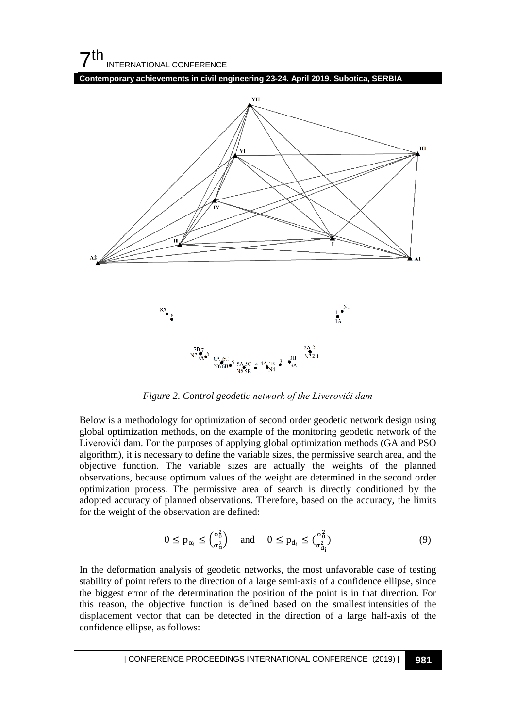## $7<sup>th</sup>$ INTERNATIONAL CONFERENCE

**Contemporary achievements in civil engineering 23-24. April 2019. Subotica, SERBIA**



*Figure 2. Control geodetic network of the Liverovići dam*

Below is a methodology for optimization of second order geodetic network design using global optimization methods, on the example of the monitoring geodetic network of the Liverovići dam. For the purposes of applying global optimization methods (GA and PSO algorithm), it is necessary to define the variable sizes, the permissive search area, and the objective function. The variable sizes are actually the weights of the planned observations, because optimum values of the weight are determined in the second order optimization process. The permissive area of search is directly conditioned by the adopted accuracy of planned observations. Therefore, based on the accuracy, the limits for the weight of the observation are defined:

$$
0 \le p_{\alpha_i} \le \left(\frac{\sigma_0^2}{\sigma_\alpha^2}\right) \quad \text{and} \quad 0 \le p_{d_i} \le \left(\frac{\sigma_0^2}{\sigma_{d_i}^2}\right) \tag{9}
$$

In the deformation analysis of geodetic networks, the most unfavorable case of testing stability of point refers to the direction of a large semi-axis of a confidence ellipse, since the biggest error of the determination the position of the point is in that direction. For this reason, the objective function is defined based on the smallest intensities of the displacement vector that can be detected in the direction of a large half-axis of the confidence ellipse, as follows: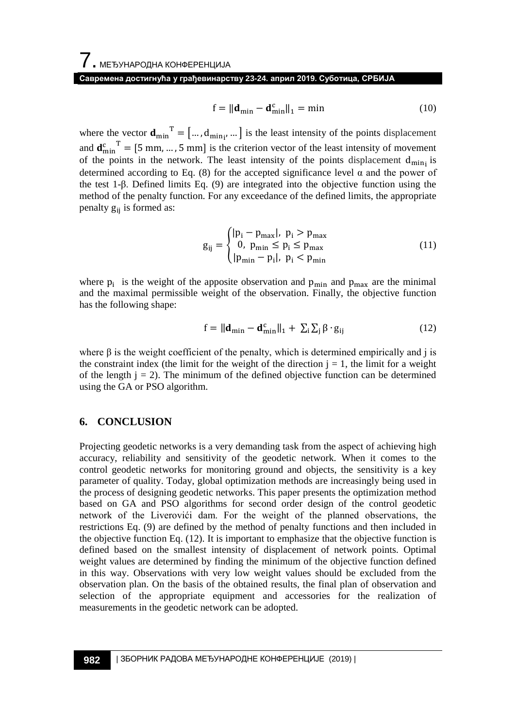#### **Савремена достигнућа у грађевинарству 23-24. април 2019. Суботица, СРБИЈА**

$$
\mathbf{f} = \|\mathbf{d}_{\min} - \mathbf{d}_{\min}^{\mathrm{c}}\|_{1} = \min \tag{10}
$$

where the vector  $\mathbf{d}_{\min}$ <sup>T</sup> = [...,  $d_{\min_{i'}}$  ...] is the least intensity of the points displacement and  $\mathbf{d}_{\min}^c$  = [5 mm, ..., 5 mm] is the criterion vector of the least intensity of movement of the points in the network. The least intensity of the points displacement  $d_{\min}$  is determined according to Eq. (8) for the accepted significance level  $\alpha$  and the power of the test 1-β. Defined limits Eq. (9) are integrated into the objective function using the method of the penalty function. For any exceedance of the defined limits, the appropriate penalty  $g_{ii}$  is formed as:

$$
g_{ij} = \begin{cases} |p_i - p_{max}|, & p_i > p_{max} \\ 0, & p_{min} \le p_i \le p_{max} \\ |p_{min} - p_i|, & p_i < p_{min} \end{cases}
$$
(11)

where  $p_i$  is the weight of the apposite observation and  $p_{min}$  and  $p_{max}$  are the minimal and the maximal permissible weight of the observation. Finally, the objective function has the following shape:

$$
f = \|\mathbf{d}_{\min} - \mathbf{d}_{\min}^c\|_1 + \sum_i \sum_j \beta \cdot g_{ij} \tag{12}
$$

where  $\beta$  is the weight coefficient of the penalty, which is determined empirically and j is the constraint index (the limit for the weight of the direction  $j = 1$ , the limit for a weight of the length  $j = 2$ ). The minimum of the defined objective function can be determined using the GA or PSO algorithm.

#### **6. CONCLUSION**

Projecting geodetic networks is a very demanding task from the aspect of achieving high accuracy, reliability and sensitivity of the geodetic network. When it comes to the control geodetic networks for monitoring ground and objects, the sensitivity is a key parameter of quality. Today, global optimization methods are increasingly being used in the process of designing geodetic networks. This paper presents the optimization method based on GA and PSO algorithms for second order design of the control geodetic network of the Liverovići dam. For the weight of the planned observations, the restrictions Eq. (9) are defined by the method of penalty functions and then included in the objective function Eq. (12). It is important to emphasize that the objective function is defined based on the smallest intensity of displacement of network points. Optimal weight values are determined by finding the minimum of the objective function defined in this way. Observations with very low weight values should be excluded from the observation plan. On the basis of the obtained results, the final plan of observation and selection of the appropriate equipment and accessories for the realization of measurements in the geodetic network can be adopted.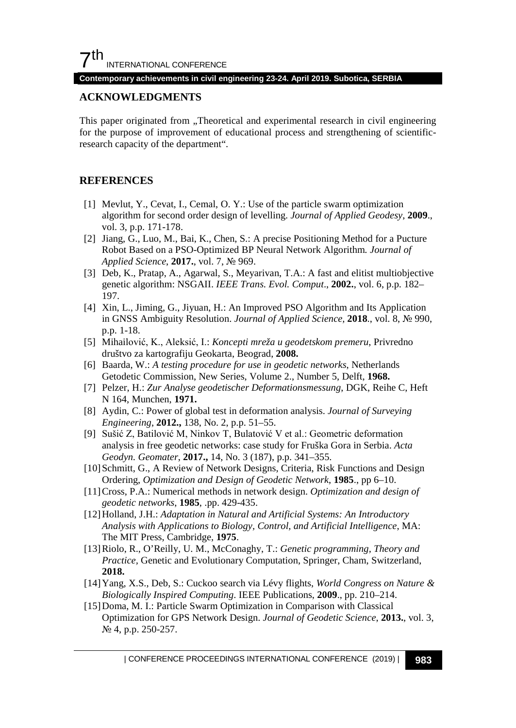**Contemporary achievements in civil engineering 23-24. April 2019. Subotica, SERBIA**

#### **ACKNOWLEDGMENTS**

This paper originated from "Theoretical and experimental research in civil engineering for the purpose of improvement of educational process and strengthening of scientificresearch capacity of the department".

### **REFERENCES**

- [1] Mevlut, Y., Cevat, I., Cemal, O. Y.: Use of the particle swarm optimization algorithm for second order design of levelling. *Journal of Applied Geodesy*, **2009**., vol. 3, p.p. 171-178.
- [2] Jiang, G., Luo, M., Bai, K., Chen, S.: A precise Positioning Method for a Pucture Robot Based on a PSO-Optimized BP Neural Network Algorithm*. Journal of Applied Science*, **2017.**, vol. 7, № 969.
- [3] Deb, K., Pratap, A., Agarwal, S., Meyarivan, T.A.: A fast and elitist multiobjective genetic algorithm: NSGAII. *IEEE Trans. Evol. Comput*., **2002.**, vol. 6, p.p. 182– 197.
- [4] Xin, L., Jiming, G., Jiyuan, H.: An Improved PSO Algorithm and Its Application in GNSS Ambiguity Resolution. *Journal of Applied Science,* **2018**., vol. 8, № 990, p.p. 1-18.
- [5] Mihailović, K., Aleksić, I.: *Koncepti mreža u geodetskom premeru*, Privredno društvo za kartografiju Geokarta, Beograd, **2008.**
- [6] Baarda, W.: *A testing procedure for use in geodetic networks*, Netherlands Getodetic Commission, New Series, Volume 2., Number 5, Delft, **1968.**
- [7] Pelzer, H.: *Zur Analyse geodetischer Deformationsmessung*, DGK, Reihe C, Heft N 164, Munchen, **1971.**
- [8] Aydin, C.: Power of global test in deformation analysis. *Journal of Surveying Engineering*, **2012.,** 138, No. 2, p.p. 51–55.
- [9] Sušić Z, Batilović M, Ninkov T, Bulatović V et al.: Geometric deformation analysis in free geodetic networks: case study for Fruška Gora in Serbia. *Acta Geodyn. Geomater*, **2017.,** 14, No. 3 (187), p.p. 341–355.
- [10] Schmitt, G., A Review of Network Designs, Criteria, Risk Functions and Design Ordering, *Optimization and Design of Geodetic Network*, **1985**., pp 6–10.
- [11]Cross, P.A.: Numerical methods in network design. *Optimization and design of geodetic networks*, **1985**, .pp. 429-435.
- [12]Holland, J.H.: *Adaptation in Natural and Artificial Systems: An Introductory Analysis with Applications to Biology, Control, and Artificial Intelligence*, MA: The MIT Press, Cambridge, **1975**.
- [13]Riolo, R., O'Reilly, U. M., McConaghy, T.: *Genetic programming, Theory and Practice,* Genetic and Evolutionary Computation, Springer, Cham, Switzerland, **2018.**
- [14]Yang, X.S., Deb, S.: Cuckoo search via Lévy flights, *World Congress on Nature & Biologically Inspired Computing*. IEEE Publications, **2009**., pp. 210–214.
- [15] Doma, M. I.: Particle Swarm Optimization in Comparison with Classical Optimization for GPS Network Design. *Journal of Geodetic Science*, **2013.**, vol. 3, № 4, p.p. 250-257.